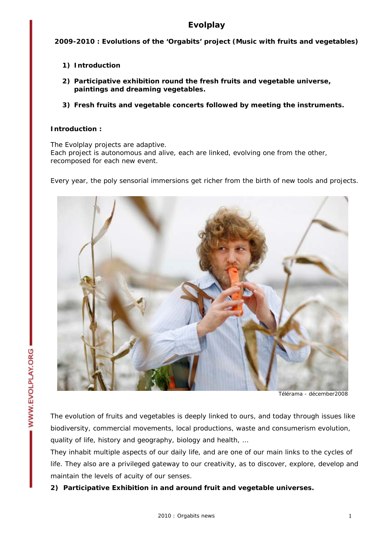# **Evolplay**

**2009-2010 : Evolutions of the 'Orgabits' project (Music with fruits and vegetables)** 

- **1) Introduction**
- **2) Participative exhibition round the fresh fruits and vegetable universe, paintings and dreaming vegetables.**
- **3) Fresh fruits and vegetable concerts followed by meeting the instruments.**

## **Introduction :**

The Evolplay projects are adaptive. Each project is autonomous and alive, each are linked, evolving one from the other, recomposed for each new event.

Every year, the poly sensorial immersions get richer from the birth of new tools and projects.



Télérama - décember2008

The evolution of fruits and vegetables is deeply linked to ours, and today through issues like biodiversity, commercial movements, local productions, waste and consumerism evolution, quality of life, history and geography, biology and health, …

They inhabit multiple aspects of our daily life, and are one of our main links to the cycles of life. They also are a privileged gateway to our creativity, as to discover, explore, develop and maintain the levels of acuity of our senses.

**2) Participative Exhibition in and around fruit and vegetable universes.**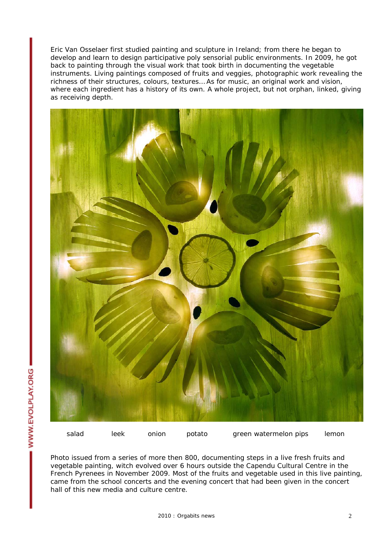Eric Van Osselaer first studied painting and sculpture in Ireland; from there he began to develop and learn to design participative poly sensorial public environments. In 2009, he got back to painting through the visual work that took birth in documenting the vegetable instruments. Living paintings composed of fruits and veggies, photographic work revealing the richness of their structures, colours, textures… As for music, an original work and vision, where each ingredient has a history of its own. A whole project, but not orphan, linked, giving as receiving depth.



Photo issued from a series of more then 800, documenting steps in a live fresh fruits and vegetable painting, witch evolved over 6 hours outside the Capendu Cultural Centre in the French Pyrenees in November 2009. Most of the fruits and vegetable used in this live painting, came from the school concerts and the evening concert that had been given in the concert hall of this new media and culture centre.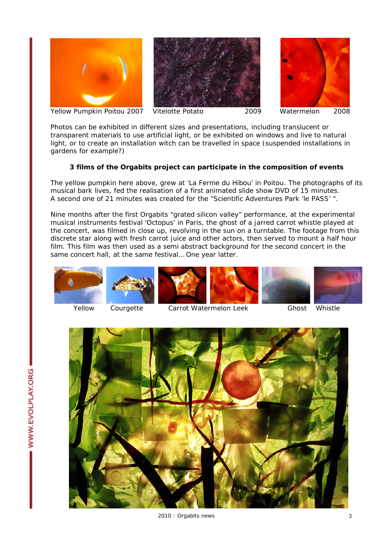





Photos can be exhibited in different sizes and presentations, including translucent or transparent materials to use artificial light, or be exhibited on windows and live to natural light, or to create an installation witch can be travelled in space (suspended installations in gardens for example?)

# **3 films of the Orgabits project can participate in the composition of events**

The yellow pumpkin here above, grew at 'La Ferme du Hibou' in Poitou. The photographs of its musical bark lives, fed the realisation of a first animated slide show DVD of 15 minutes. A second one of 21 minutes was created for the "Scientific Adventures Park 'le PASS' ".

Nine months after the first Orgabits "grated silicon valley" performance, at the experimental musical instruments festival 'Octopus' in Paris, the ghost of a jarred carrot whistle played at the concert, was filmed in close up, revolving in the sun on a turntable. The footage from this discrete star along with fresh carrot juice and other actors, then served to mount a half hour film. This film was then used as a semi abstract background for the second concert in the same concert hall, at the same festival… One year latter.













Yellow Courgette Carrot Watermelon Leek Ghost Whistle

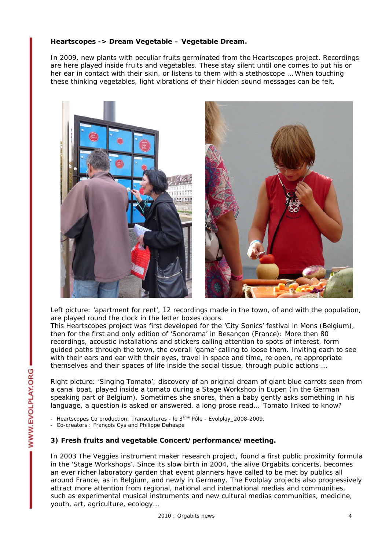## **Heartscopes -> Dream Vegetable – Vegetable Dream.**

In 2009, new plants with peculiar fruits germinated from the Heartscopes project. Recordings are here played inside fruits and vegetables. These stay silent until one comes to put his or her ear in contact with their skin, or listens to them with a stethoscope … When touching these thinking vegetables, light vibrations of their hidden sound messages can be felt.



Left picture: 'apartment for rent', 12 recordings made in the town, of and with the population, are played round the clock in the letter boxes doors.

This Heartscopes project was first developed for the 'City Sonics' festival in Mons (Belgium), then for the first and only edition of 'Sonorama' in Besançon (France): More then 80 recordings, acoustic installations and stickers calling attention to spots of interest, form guided paths through the town, the overall 'game' calling to loose them. Inviting each to see with their ears and ear with their eyes, travel in space and time, re open, re appropriate themselves and their spaces of life inside the social tissue, through public actions …

Right picture: 'Singing Tomato'; discovery of an original dream of giant blue carrots seen from a canal boat, played inside a tomato during a Stage Workshop in Eupen (in the German speaking part of Belgium). Sometimes she snores, then a baby gently asks something in his language, a question is asked or answered, a long prose read… Tomato linked to know?

- Heartscopes Co production: Transcultures - le 3<sup>ème</sup> Pôle - Evolplay\_2008-2009.

- Co-creators : François Cys and Philippe Dehaspe

### **3) Fresh fruits and vegetable Concert/performance/meeting.**

In 2003 The Veggies instrument maker research project, found a first public proximity formula in the 'Stage Workshops'. Since its slow birth in 2004, the alive Orgabits concerts, becomes an ever richer laboratory garden that event planners have called to be met by publics all around France, as in Belgium, and newly in Germany. The Evolplay projects also progressively attract more attention from regional, national and international medias and communities, such as experimental musical instruments and new cultural medias communities, medicine, youth, art, agriculture, ecology…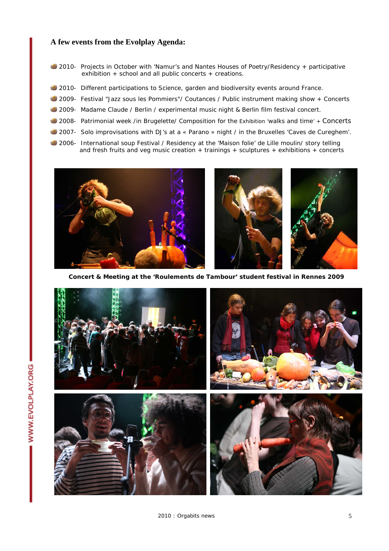### **A few events from the Evolplay Agenda:**

- 2010- Projects in October with 'Namur's and Nantes Houses of Poetry/Residency + participative exhibition + school and all public concerts + creations.
- 2010- Different participations to Science, garden and biodiversity events around France.
- 2009- Festival "Jazz sous les Pommiers"/ Coutances / Public instrument making show + Concerts
- 2009- Madame Claude / Berlin / experimental music night & Berlin film festival concert.
- 2008- Patrimonial week /in Brugelette/ Composition for the Exhibition 'walks and time' + Concerts
- 2007- Solo improvisations with DJ's at a « Parano » night / in the Bruxelles 'Caves de Cureghem'.
- 2006- International soup Festival / Residency at the 'Maison folie' de Lille moulin/ story telling and fresh fruits and veg music creation + trainings + sculptures + exhibitions + concerts



**Concert & Meeting at the 'Roulements de Tambour' student festival in Rennes 2009**